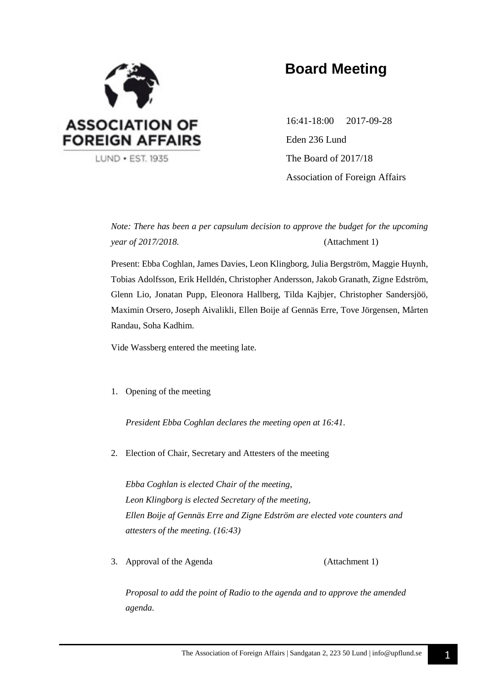

# **Board Meeting**

16:41-18:00 2017-09-28 Eden 236 Lund The Board of 2017/18 Association of Foreign Affairs

*Note: There has been a per capsulum decision to approve the budget for the upcoming year of 2017/2018.* (Attachment 1)

Present: Ebba Coghlan, James Davies, Leon Klingborg, Julia Bergström, Maggie Huynh, Tobias Adolfsson, Erik Helldén, Christopher Andersson, Jakob Granath, Zigne Edström, Glenn Lio, Jonatan Pupp, Eleonora Hallberg, Tilda Kajbjer, Christopher Sandersjöö, Maximin Orsero, Joseph Aivalikli, Ellen Boije af Gennäs Erre, Tove Jörgensen, Mårten Randau, Soha Kadhim.

Vide Wassberg entered the meeting late.

1. Opening of the meeting

*President Ebba Coghlan declares the meeting open at 16:41.*

2. Election of Chair, Secretary and Attesters of the meeting

*Ebba Coghlan is elected Chair of the meeting, Leon Klingborg is elected Secretary of the meeting, Ellen Boije af Gennäs Erre and Zigne Edström are elected vote counters and attesters of the meeting. (16:43)*

3. Approval of the Agenda (Attachment 1)

*Proposal to add the point of Radio to the agenda and to approve the amended agenda.*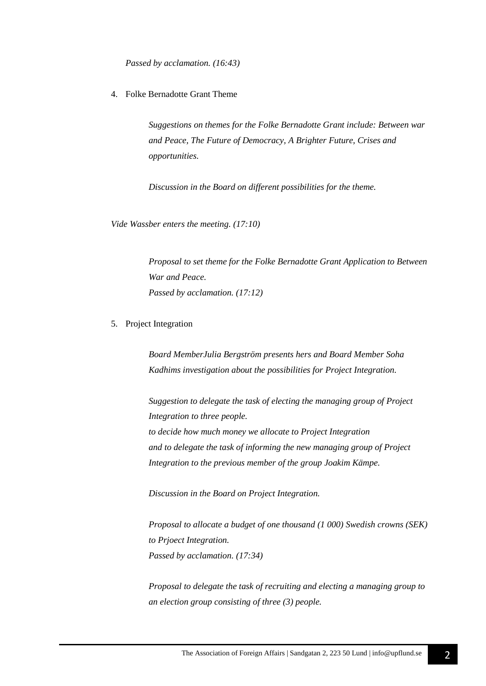*Passed by acclamation. (16:43)*

4. Folke Bernadotte Grant Theme

*Suggestions on themes for the Folke Bernadotte Grant include: Between war and Peace, The Future of Democracy, A Brighter Future, Crises and opportunities.*

*Discussion in the Board on different possibilities for the theme.*

*Vide Wassber enters the meeting. (17:10)*

*Proposal to set theme for the Folke Bernadotte Grant Application to Between War and Peace. Passed by acclamation. (17:12)*

5. Project Integration

*Board MemberJulia Bergström presents hers and Board Member Soha Kadhims investigation about the possibilities for Project Integration.*

*Suggestion to delegate the task of electing the managing group of Project Integration to three people. to decide how much money we allocate to Project Integration and to delegate the task of informing the new managing group of Project Integration to the previous member of the group Joakim Kämpe.*

*Discussion in the Board on Project Integration.*

*Proposal to allocate a budget of one thousand (1 000) Swedish crowns (SEK) to Prjoect Integration. Passed by acclamation. (17:34)*

*Proposal to delegate the task of recruiting and electing a managing group to an election group consisting of three (3) people.*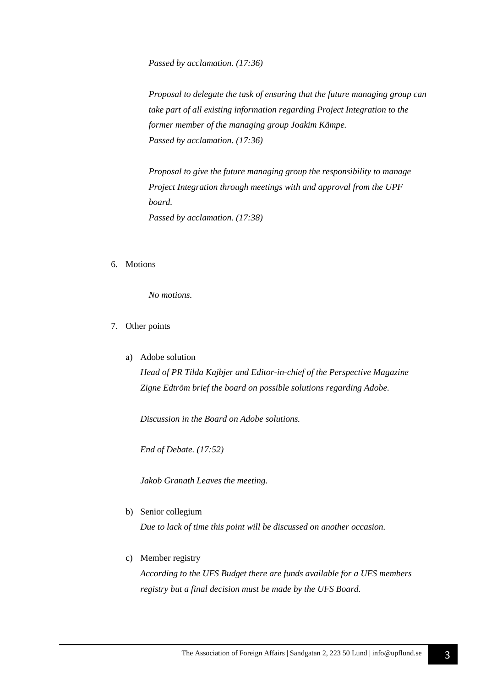*Passed by acclamation. (17:36)*

*Proposal to delegate the task of ensuring that the future managing group can take part of all existing information regarding Project Integration to the former member of the managing group Joakim Kämpe. Passed by acclamation. (17:36)*

*Proposal to give the future managing group the responsibility to manage Project Integration through meetings with and approval from the UPF board. Passed by acclamation. (17:38)*

6. Motions

*No motions.*

- 7. Other points
	- a) Adobe solution

*Head of PR Tilda Kajbjer and Editor-in-chief of the Perspective Magazine Zigne Edtröm brief the board on possible solutions regarding Adobe.*

*Discussion in the Board on Adobe solutions.*

*End of Debate. (17:52)*

*Jakob Granath Leaves the meeting.*

b) Senior collegium

*Due to lack of time this point will be discussed on another occasion.*

c) Member registry

*According to the UFS Budget there are funds available for a UFS members registry but a final decision must be made by the UFS Board.*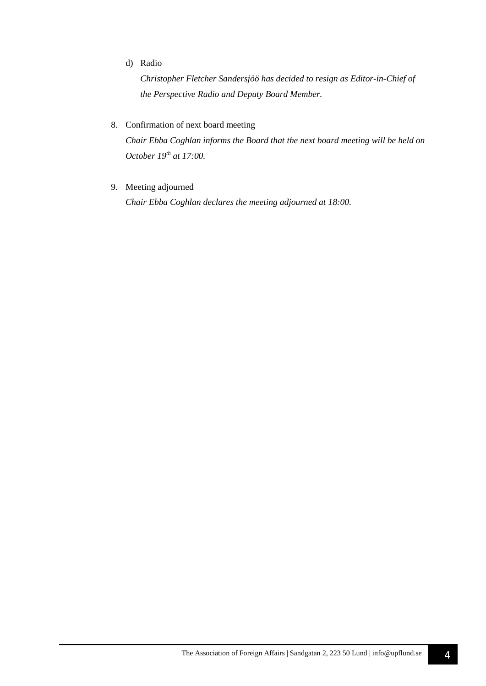#### d) Radio

*Christopher Fletcher Sandersjöö has decided to resign as Editor-in-Chief of the Perspective Radio and Deputy Board Member.*

#### 8. Confirmation of next board meeting

*Chair Ebba Coghlan informs the Board that the next board meeting will be held on October 19th at 17:00.*

9. Meeting adjourned

*Chair Ebba Coghlan declares the meeting adjourned at 18:00.*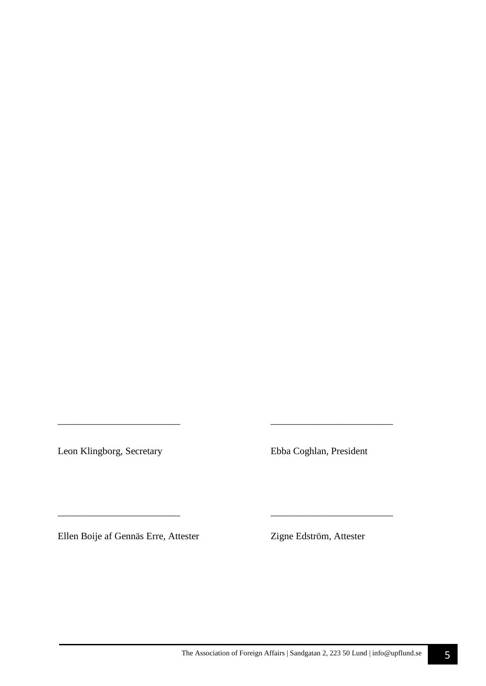Leon Klingborg, Secretary Ebba Coghlan, President

*\_\_\_\_\_\_\_\_\_\_\_\_\_\_\_\_\_\_\_\_\_\_\_\_\_ \_\_\_\_\_\_\_\_\_\_\_\_\_\_\_\_\_\_\_\_\_\_\_\_\_* 

\_\_\_\_\_\_\_\_\_\_\_\_\_\_\_\_\_\_\_\_\_\_\_\_\_ \_\_\_\_\_\_\_\_\_\_\_\_\_\_\_\_\_\_\_\_\_\_\_\_\_

Ellen Boije af Gennäs Erre, Attester Zigne Edström, Attester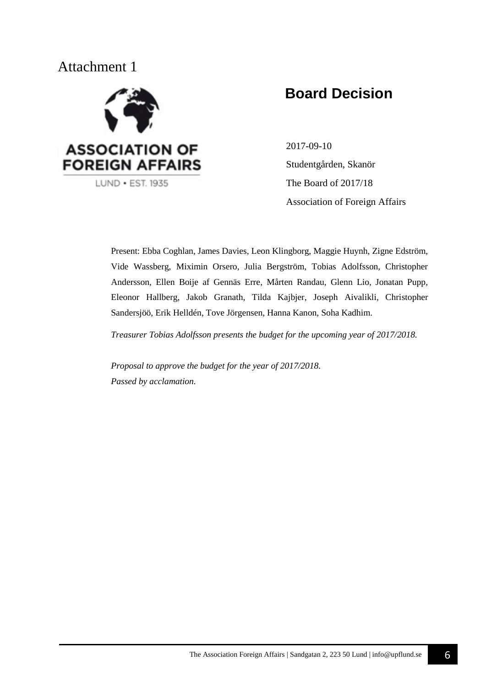## Attachment 1



# **Board Decision**

2017-09-10 Studentgården, Skanör The Board of 2017/18 Association of Foreign Affairs

Present: Ebba Coghlan, James Davies, Leon Klingborg, Maggie Huynh, Zigne Edström, Vide Wassberg, Miximin Orsero, Julia Bergström, Tobias Adolfsson, Christopher Andersson, Ellen Boije af Gennäs Erre, Mårten Randau, Glenn Lio, Jonatan Pupp, Eleonor Hallberg, Jakob Granath, Tilda Kajbjer, Joseph Aivalikli, Christopher Sandersjöö, Erik Helldén, Tove Jörgensen, Hanna Kanon, Soha Kadhim.

*Treasurer Tobias Adolfsson presents the budget for the upcoming year of 2017/2018.*

*Proposal to approve the budget for the year of 2017/2018. Passed by acclamation.*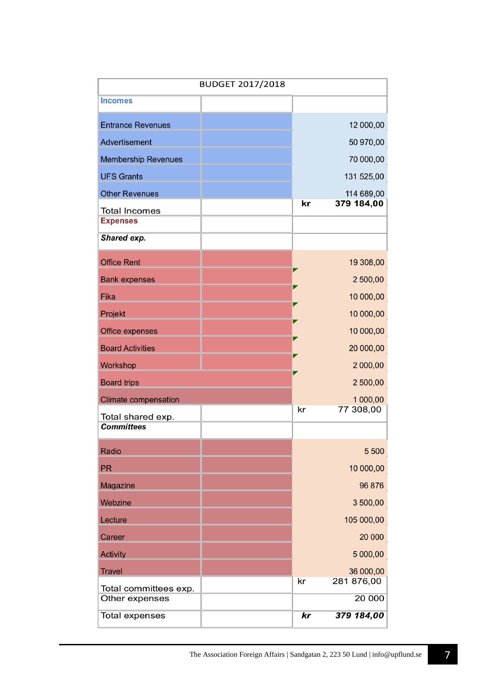| <b>BUDGET 2017/2018</b>                |  |    |                       |
|----------------------------------------|--|----|-----------------------|
| <b>Incomes</b>                         |  |    |                       |
| <b>Entrance Revenues</b>               |  |    | 12 000,00             |
| Advertisement                          |  |    | 50 970,00             |
| <b>Membership Revenues</b>             |  |    | 70 000,00             |
| <b>UFS Grants</b>                      |  |    | 131 525,00            |
| <b>Other Revenues</b>                  |  |    | 114 689,00            |
| <b>Total Incomes</b>                   |  | kr | 379 184,00            |
| <b>Expenses</b>                        |  |    |                       |
| Shared exp.                            |  |    |                       |
| <b>Office Rent</b>                     |  |    | 19 308,00             |
| <b>Bank expenses</b>                   |  | m. | 2 500,00              |
| Fika                                   |  |    | 10 000,00             |
| Projekt                                |  |    | 10 000,00             |
| <b>Office expenses</b>                 |  |    | 10 000,00             |
| <b>Board Activities</b>                |  |    | 20 000,00             |
| Workshop                               |  |    | 2 000,00              |
| <b>Board trips</b>                     |  |    | 2 500,00              |
| <b>Climate compensation</b>            |  | kr | 1 000,00<br>77 308,00 |
| Total shared exp.<br><b>Committees</b> |  |    |                       |
| Radio                                  |  |    | 5 500                 |
| <b>PR</b>                              |  |    | 10 000,00             |
| Magazine                               |  |    | 96 876                |
| Webzine                                |  |    | 3 500,00              |
| Lecture                                |  |    | 105 000,00            |
| Career                                 |  |    | 20 000                |
| <b>Activity</b>                        |  |    | 5 000,00              |
| <b>Travel</b>                          |  |    | 36 000,00             |
| Total committees exp.                  |  | kr | 281 876,00            |
| Other expenses                         |  |    | 20 000                |
| <b>Total expenses</b>                  |  | kr | 379 184,00            |